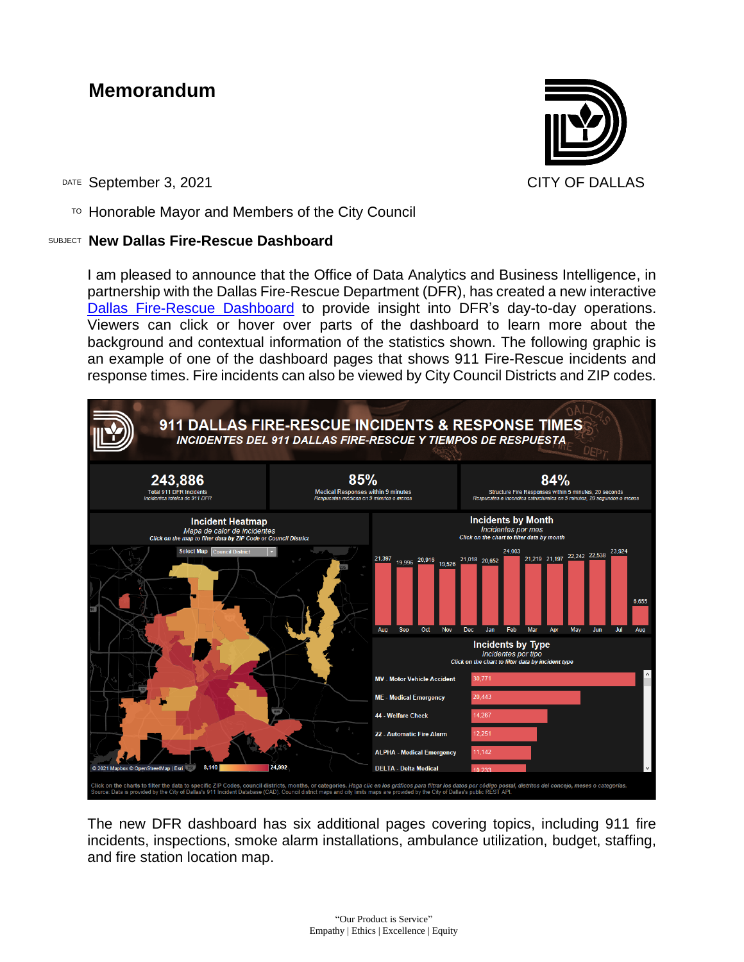## **Memorandum**



DATE September 3, 2021 CITY OF DALLAS

 $T$ <sup>O</sup> Honorable Mayor and Members of the City Council

## SUBJECT **New Dallas Fire-Rescue Dashboard**

I am pleased to announce that the Office of Data Analytics and Business Intelligence, in partnership with the Dallas Fire-Rescue Department (DFR), has created a new interactive [Dallas Fire-Rescue Dashboard](https://dallascitydata.dallascityhall.com/views/DFRDashboardbanner1/911DALLASFIRE-RESCUEINCIDENTSRESPONSETIMES?:isGuestRedirectFromVizportal=y&:embed=y) to provide insight into DFR's day-to-day operations. Viewers can click or hover over parts of the dashboard to learn more about the background and contextual information of the statistics shown. The following graphic is an example of one of the dashboard pages that shows 911 Fire-Rescue incidents and response times. Fire incidents can also be viewed by City Council Districts and ZIP codes.



The new DFR dashboard has six additional pages covering topics, including 911 fire incidents, inspections, smoke alarm installations, ambulance utilization, budget, staffing, and fire station location map.